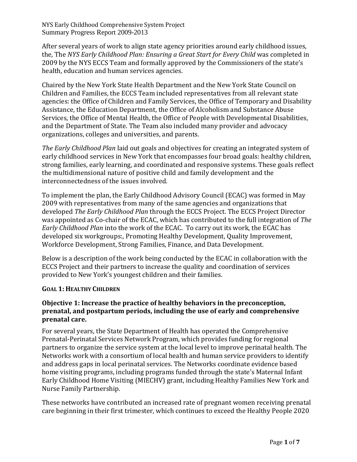After several years of work to align state agency priorities around early childhood issues, the, The *NYS Early Childhood Plan: Ensuring a Great Start for Every Child* was completed in 2009 by the NYS ECCS Team and formally approved by the Commissioners of the state's health, education and human services agencies.

Chaired by the New York State Health Department and the New York State Council on Children and Families, the ECCS Team included representatives from all relevant state agencies: the Office of Children and Family Services, the Office of Temporary and Disability Assistance, the Education Department, the Office of Alcoholism and Substance Abuse Services, the Office of Mental Health, the Office of People with Developmental Disabilities, and the Department of State. The Team also included many provider and advocacy organizations, colleges and universities, and parents.

*The Early Childhood Plan* laid out goals and objectives for creating an integrated system of early childhood services in New York that encompasses four broad goals: healthy children, strong families, early learning, and coordinated and responsive systems. These goals reflect the multidimensional nature of positive child and family development and the interconnectedness of the issues involved.

To implement the plan, the Early Childhood Advisory Council (ECAC) was formed in May 2009 with representatives from many of the same agencies and organizations that developed *The Early Childhood Plan* through the ECCS Project. The ECCS Project Director was appointed as Co-chair of the ECAC, which has contributed to the full integration of *The Early Childhood Plan* into the work of the ECAC. To carry out its work, the ECAC has developed six workgroups:, Promoting Healthy Development, Quality Improvement, Workforce Development, Strong Families, Finance, and Data Development.

Below is a description of the work being conducted by the ECAC in collaboration with the ECCS Project and their partners to increase the quality and coordination of services provided to New York's youngest children and their families.

### **GOAL 1: HEALTHY CHILDREN**

## **Objective 1: Increase the practice of healthy behaviors in the preconception, prenatal, and postpartum periods, including the use of early and comprehensive prenatal care.**

For several years, the State Department of Health has operated the Comprehensive Prenatal-Perinatal Services Network Program, which provides funding for regional partners to organize the service system at the local level to improve perinatal health. The Networks work with a consortium of local health and human service providers to identify and address gaps in local perinatal services. The Networks coordinate evidence based home visiting programs, including programs funded through the state's Maternal Infant Early Childhood Home Visiting (MIECHV) grant, including Healthy Families New York and Nurse Family Partnership.

These networks have contributed an increased rate of pregnant women receiving prenatal care beginning in their first trimester, which continues to exceed the Healthy People 2020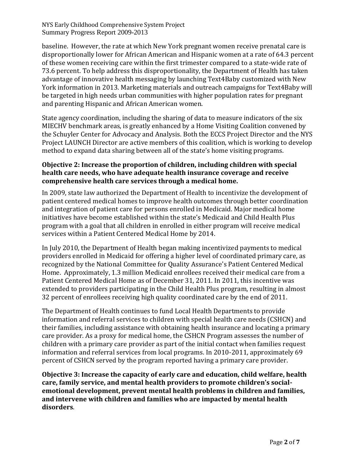baseline. However, the rate at which New York pregnant women receive prenatal care is disproportionally lower for African American and Hispanic women at a rate of 64.3 percent of these women receiving care within the first trimester compared to a state-wide rate of 73.6 percent. To help address this disproportionality, the Department of Health has taken advantage of innovative health messaging by launching Text4Baby customized with New York information in 2013. Marketing materials and outreach campaigns for Text4Baby will be targeted in high needs urban communities with higher population rates for pregnant and parenting Hispanic and African American women.

State agency coordination, including the sharing of data to measure indicators of the six MIECHV benchmark areas, is greatly enhanced by a Home Visiting Coalition convened by the Schuyler Center for Advocacy and Analysis. Both the ECCS Project Director and the NYS Project LAUNCH Director are active members of this coalition, which is working to develop method to expand data sharing between all of the state's home visiting programs.

## **Objective 2: Increase the proportion of children, including children with special health care needs, who have adequate health insurance coverage and receive comprehensive health care services through a medical home.**

In 2009, state law authorized the Department of Health to incentivize the development of patient centered medical homes to improve health outcomes through better coordination and integration of patient care for persons enrolled in Medicaid. Major medical home initiatives have become established within the state's Medicaid and Child Health Plus program with a goal that all children in enrolled in either program will receive medical services within a Patient Centered Medical Home by 2014.

In July 2010, the Department of Health began making incentivized payments to medical providers enrolled in Medicaid for offering a higher level of coordinated primary care, as recognized by the National Committee for Quality Assurance's Patient Centered Medical Home. Approximately, 1.3 million Medicaid enrollees received their medical care from a Patient Centered Medical Home as of December 31, 2011. In 2011, this incentive was extended to providers participating in the Child Health Plus program, resulting in almost 32 percent of enrollees receiving high quality coordinated care by the end of 2011.

The Department of Health continues to fund Local Health Departments to provide information and referral services to children with special health care needs (CSHCN) and their families, including assistance with obtaining health insurance and locating a primary care provider. As a proxy for medical home, the CSHCN Program assesses the number of children with a primary care provider as part of the initial contact when families request information and referral services from local programs. In 2010-2011, approximately 69 percent of CSHCN served by the program reported having a primary care provider.

**Objective 3: Increase the capacity of early care and education, child welfare, health care, family service, and mental health providers to promote children's socialemotional development, prevent mental health problems in children and families, and intervene with children and families who are impacted by mental health disorders**.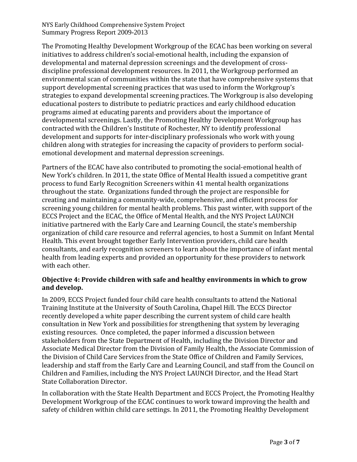The Promoting Healthy Development Workgroup of the ECAC has been working on several initiatives to address children's social-emotional health, including the expansion of developmental and maternal depression screenings and the development of crossdiscipline professional development resources. In 2011, the Workgroup performed an environmental scan of communities within the state that have comprehensive systems that support developmental screening practices that was used to inform the Workgroup's strategies to expand developmental screening practices. The Workgroup is also developing educational posters to distribute to pediatric practices and early childhood education programs aimed at educating parents and providers about the importance of developmental screenings. Lastly, the Promoting Healthy Development Workgroup has contracted with the Children's Institute of Rochester, NY to identify professional development and supports for inter-disciplinary professionals who work with young children along with strategies for increasing the capacity of providers to perform socialemotional development and maternal depression screenings.

Partners of the ECAC have also contributed to promoting the social-emotional health of New York's children. In 2011, the state Office of Mental Health issued a competitive grant process to fund Early Recognition Screeners within 41 mental health organizations throughout the state. Organizations funded through the project are responsible for creating and maintaining a community-wide, comprehensive, and efficient process for screening young children for mental health problems. This past winter, with support of the ECCS Project and the ECAC, the Office of Mental Health, and the NYS Project LAUNCH initiative partnered with the Early Care and Learning Council, the state's membership organization of child care resource and referral agencies, to host a Summit on Infant Mental Health. This event brought together Early Intervention providers, child care health consultants, and early recognition screeners to learn about the importance of infant mental health from leading experts and provided an opportunity for these providers to network with each other.

### **Objective 4: Provide children with safe and healthy environments in which to grow and develop.**

In 2009, ECCS Project funded four child care health consultants to attend the National Training Institute at the University of South Carolina, Chapel Hill. The ECCS Director recently developed a white paper describing the current system of child care health consultation in New York and possibilities for strengthening that system by leveraging existing resources. Once completed, the paper informed a discussion between stakeholders from the State Department of Health, including the Division Director and Associate Medical Director from the Division of Family Health, the Associate Commission of the Division of Child Care Services from the State Office of Children and Family Services, leadership and staff from the Early Care and Learning Council, and staff from the Council on Children and Families, including the NYS Project LAUNCH Director, and the Head Start State Collaboration Director.

In collaboration with the State Health Department and ECCS Project, the Promoting Healthy Development Workgroup of the ECAC continues to work toward improving the health and safety of children within child care settings. In 2011, the Promoting Healthy Development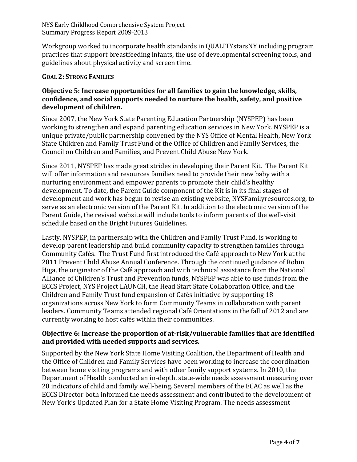Workgroup worked to incorporate health standards in QUALITYstarsNY including program practices that support breastfeeding infants, the use of developmental screening tools, and guidelines about physical activity and screen time.

#### **GOAL 2: STRONG FAMILIES**

### **Objective 5: Increase opportunities for all families to gain the knowledge, skills, confidence, and social supports needed to nurture the health, safety, and positive development of children.**

Since 2007, the New York State Parenting Education Partnership (NYSPEP) has been working to strengthen and expand parenting education services in New York. NYSPEP is a unique private/public partnership convened by the NYS Office of Mental Health, New York State Children and Family Trust Fund of the Office of Children and Family Services, the Council on Children and Families, and Prevent Child Abuse New York.

Since 2011, NYSPEP has made great strides in developing their Parent Kit. The Parent Kit will offer information and resources families need to provide their new baby with a nurturing environment and empower parents to promote their child's healthy development. To date, the Parent Guide component of the Kit is in its final stages of development and work has begun to revise an existing website, NYSFamilyresources.org, to serve as an electronic version of the Parent Kit. In addition to the electronic version of the Parent Guide, the revised website will include tools to inform parents of the well-visit schedule based on the Bright Futures Guidelines.

Lastly, NYSPEP, in partnership with the Children and Family Trust Fund, is working to develop parent leadership and build community capacity to strengthen families through Community Cafés. The Trust Fund first introduced the Café approach to New York at the 2011 Prevent Child Abuse Annual Conference. Through the continued guidance of Robin Higa, the originator of the Café approach and with technical assistance from the National Alliance of Children's Trust and Prevention funds, NYSPEP was able to use funds from the ECCS Project, NYS Project LAUNCH, the Head Start State Collaboration Office, and the Children and Family Trust fund expansion of Cafés initiative by supporting 18 organizations across New York to form Community Teams in collaboration with parent leaders. Community Teams attended regional Café Orientations in the fall of 2012 and are currently working to host cafés within their communities.

### **Objective 6: Increase the proportion of at-risk/vulnerable families that are identified and provided with needed supports and services.**

Supported by the New York State Home Visiting Coalition, the Department of Health and the Office of Children and Family Services have been working to increase the coordination between home visiting programs and with other family support systems. In 2010, the Department of Health conducted an in-depth, state-wide needs assessment measuring over 20 indicators of child and family well-being. Several members of the ECAC as well as the ECCS Director both informed the needs assessment and contributed to the development of New York's Updated Plan for a State Home Visiting Program. The needs assessment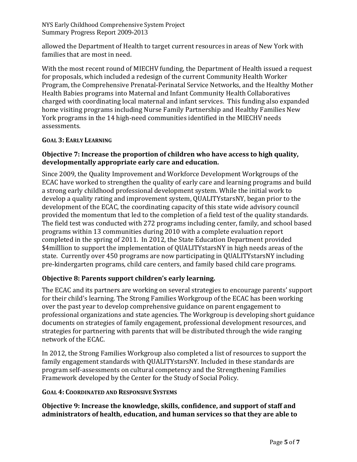allowed the Department of Health to target current resources in areas of New York with families that are most in need.

With the most recent round of MIECHV funding, the Department of Health issued a request for proposals, which included a redesign of the current Community Health Worker Program, the Comprehensive Prenatal-Perinatal Service Networks, and the Healthy Mother Health Babies programs into Maternal and Infant Community Health Collaboratives charged with coordinating local maternal and infant services. This funding also expanded home visiting programs including Nurse Family Partnership and Healthy Families New York programs in the 14 high-need communities identified in the MIECHV needs assessments.

## **GOAL 3: EARLY LEARNING**

## **Objective 7: Increase the proportion of children who have access to high quality, developmentally appropriate early care and education.**

Since 2009, the Quality Improvement and Workforce Development Workgroups of the ECAC have worked to strengthen the quality of early care and learning programs and build a strong early childhood professional development system. While the initial work to develop a quality rating and improvement system, QUALITYstarsNY, began prior to the development of the ECAC, the coordinating capacity of this state wide advisory council provided the momentum that led to the completion of a field test of the quality standards. The field test was conducted with 272 programs including center, family, and school based programs within 13 communities during 2010 with a complete evaluation report completed in the spring of 2011. In 2012, the State Education Department provided \$4milllion to support the implementation of QUALITYstarsNY in high needs areas of the state. Currently over 450 programs are now participating in QUALITYstarsNY including pre-kindergarten programs, child care centers, and family based child care programs.

# **Objective 8: Parents support children's early learning.**

The ECAC and its partners are working on several strategies to encourage parents' support for their child's learning. The Strong Families Workgroup of the ECAC has been working over the past year to develop comprehensive guidance on parent engagement to professional organizations and state agencies. The Workgroup is developing short guidance documents on strategies of family engagement, professional development resources, and strategies for partnering with parents that will be distributed through the wide ranging network of the ECAC.

In 2012, the Strong Families Workgroup also completed a list of resources to support the family engagement standards with QUALITYstarsNY. Included in these standards are program self-assessments on cultural competency and the Strengthening Families Framework developed by the Center for the Study of Social Policy.

# **GOAL 4: COORDINATED AND RESPONSIVE SYSTEMS**

## **Objective 9: Increase the knowledge, skills, confidence, and support of staff and administrators of health, education, and human services so that they are able to**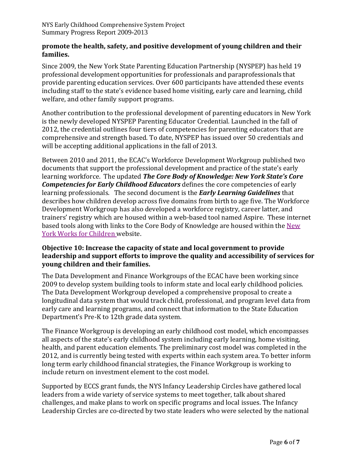### **promote the health, safety, and positive development of young children and their families.**

Since 2009, the New York State Parenting Education Partnership (NYSPEP) has held 19 professional development opportunities for professionals and paraprofessionals that provide parenting education services. Over 600 participants have attended these events including staff to the state's evidence based home visiting, early care and learning, child welfare, and other family support programs.

Another contribution to the professional development of parenting educators in New York is the newly developed NYSPEP Parenting Educator Credential. Launched in the fall of 2012, the credential outlines four tiers of competencies for parenting educators that are comprehensive and strength based. To date, NYSPEP has issued over 50 credentials and will be accepting additional applications in the fall of 2013.

Between 2010 and 2011, the ECAC's Workforce Development Workgroup published two documents that support the professional development and practice of the state's early learning workforce. The updated *The Core Body of Knowledge: New York State's Core Competencies for Early Childhood Educators* defines the core competencies of early learning professionals. The second document is the *Early Learning Guidelines* that describes how children develop across five domains from birth to age five. The Workforce Development Workgroup has also developed a workforce registry, career latter, and trainers' registry which are housed within a web-based tool named Aspire. These internet based tools along with links to the Core Body of Knowledge are housed within th[e New](http://www.nyworksforchildren.org/Home.aspx)  [York Works for Children w](http://www.nyworksforchildren.org/Home.aspx)ebsite.

# **Objective 10: Increase the capacity of state and local government to provide leadership and support efforts to improve the quality and accessibility of services for young children and their families.**

The Data Development and Finance Workgroups of the ECAC have been working since 2009 to develop system building tools to inform state and local early childhood policies. The Data Development Workgroup developed a comprehensive proposal to create a longitudinal data system that would track child, professional, and program level data from early care and learning programs, and connect that information to the State Education Department's Pre-K to 12th grade data system.

The Finance Workgroup is developing an early childhood cost model, which encompasses all aspects of the state's early childhood system including early learning, home visiting, health, and parent education elements. The preliminary cost model was completed in the 2012, and is currently being tested with experts within each system area. To better inform long term early childhood financial strategies, the Finance Workgroup is working to include return on investment element to the cost model.

Supported by ECCS grant funds, the NYS Infancy Leadership Circles have gathered local leaders from a wide variety of service systems to meet together, talk about shared challenges, and make plans to work on specific programs and local issues. The Infancy Leadership Circles are co-directed by two state leaders who were selected by the national